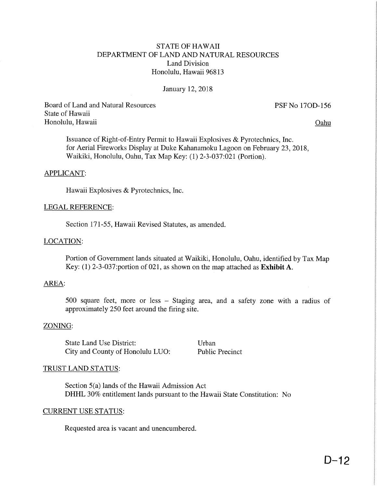# STATE OF HAWAII DEPARTMENT OF LAND AND NATURAL RESOURCES Land Division Honolulu, Hawaii 96813

# January 12, 2018

Board of Land and Natural Resources PSF No 170D-156 State of Hawaii Honolulu, Hawaii Oahy

Issuance of Right-of-Entry Permit to Hawaii Explosives & Pyrotechnics, Inc. for Aerial Fireworks Display at Duke Kahanamoku Lagoon on February 23,2018, Waikiki, Honolulu, Oahu, Tax Map Key: (1) 2-3-037:021 (Portion).

# APPLICANT:

Hawaii Explosives & Pyrotechnics, Inc.

#### LEGAL REFERENCE:

Section 171-55, Hawaii Revised Statutes, as amended.

# LOCATION:

Portion of Government lands situated at Waikiki, Honolulu, Oahu, identified by Tax Map Key: (1) 2-3-037:portion of 021, as shown on the map attached as Exhibit A.

#### AREA:

500 square feet, more or less - Staging area, and a safety zone with a radius of approximately 250 feet around the firing site.

# ZONING:

State Land Use District: Urban City and County of Honolulu LUO: Public Precinct

# TRUST LAND STATUS:

Section 5(a) lands of the Hawaii Admission Act DHHL 30% entitlement lands pursuant to the Hawaii State Constitution: No

#### CURRENT USE STATUS:

Requested area is vacant and unencumbered.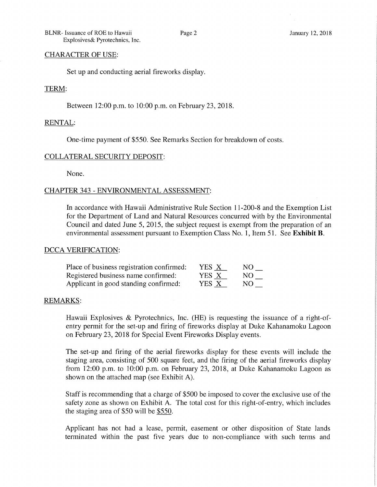BLNR- Issuance of ROE to Hawaii Page 2 January 12, 2018 Explosives& Pyrotechnics, Inc.

### CHARACTER OF USE:

Set up and conducting aerial fireworks display.

#### TERM:

Between 12:00 p.m. to 10:00 p.m. on February 23, 2018.

# RENTAL:

One-time payment of \$550. See Remarks Section for breakdown of costs.

# COLLATERAL SECURFTY DEPOSFT:

None.

# CHAPTER 343 - ENVIRONMENTAL ASSESSMENT:

In accordance with Hawaii Administrative Rule Section 11-200-8 and the Exemption List for the Department of Land and Natural Resources concurred with by the Environmental Council and dated June 5, 2015, the subject request is exempt from the preparation of an environmental assessment pursuant to Exemption Class No. 1, Item 51. See Exhibit B.

#### DCCA VERIFICATION:

| Place of business registration confirmed: | YES X | NO. |
|-------------------------------------------|-------|-----|
| Registered business name confirmed:       | YES X | NO. |
| Applicant in good standing confirmed:     | YES X | NO. |

#### REMARKS:

Hawaii Explosives & Pyrotechnics, Inc. (HE) is requesting the issuance of a right-ofentry permit for the set-up and firing of fireworks display at Duke Kahanamoku Lagoon on February 23, 2018 for Special Event Fireworks Display events.

The set-up and firing of the aerial fireworks display for these events will include the staging area, consisting of 500 square feet, and the firing of the aerial fireworks display from 12:00 p.m. to 10:00 p.m. on February 23, 2018, at Duke Kahanamoku Lagoon as shown on the attached map (see Exhibit A).

Staff is recommending that a charge of \$500 be imposed to cover the exclusive use of the safety zone as shown on Exhibit A. The total cost for this right-of-entry, which includes the staging area of \$50 will be \$550.

Applicant has not had a lease, permit, easement or other disposition of State lands terminated within the past five years due to non-compliance with such terms and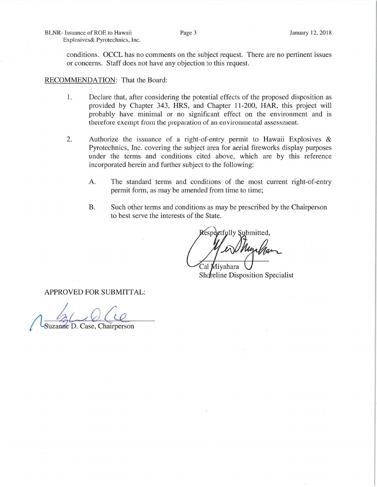BLNR- Issuance of ROE to Hawaii Explosives& Pyrotechnics, Inc.

conditions. OCCL has no comments on the subject request. There are no pertinent issues or concerns. Staff does not have any objection to this request.

RECOMMENDATION: That the Board:

- 1. Declare that, after considering the potential effects of the proposed disposition as provided by Chapter 343, HRS, and Chapter 11-200, HAR, this project will probably have minimal or no significant effect on the environment and is therefore exempt from the preparation of an environmental assessment.
- 2. Authorize the issuance of a right-of-entry permit to Hawaii Explosives & Pyrotechnics, Inc. covering the subject area for aerial fireworks display purposes under the terms and conditions cited above, which are by this reference incorporated herein and further subject to the following:
	- A. The standard terms and conditions of the most current right-of-entry permit form, as may be amended from time to time;
	- B. Such other terms and conditions as may be prescribed by the Chairperson to best serve the interests of the State.

etfully Submitted. Cal **M**ivahara

Shofreline Disposition Specialist

APPROVED FOR SUBMITTAL:

 $\mathbb{Z}$  $Q$  c Suzanne D. Case, Chairperson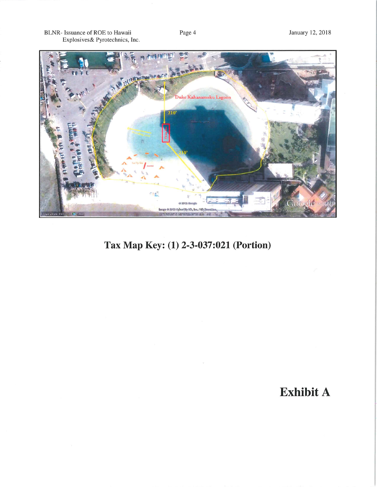BLNR- Issuance of ROE to Hawaii<br>Explosives& Pyrotechnics, Inc.



# Tax Map Key: (1) 2-3-037:021 (Portion)

# **Exhibit A**